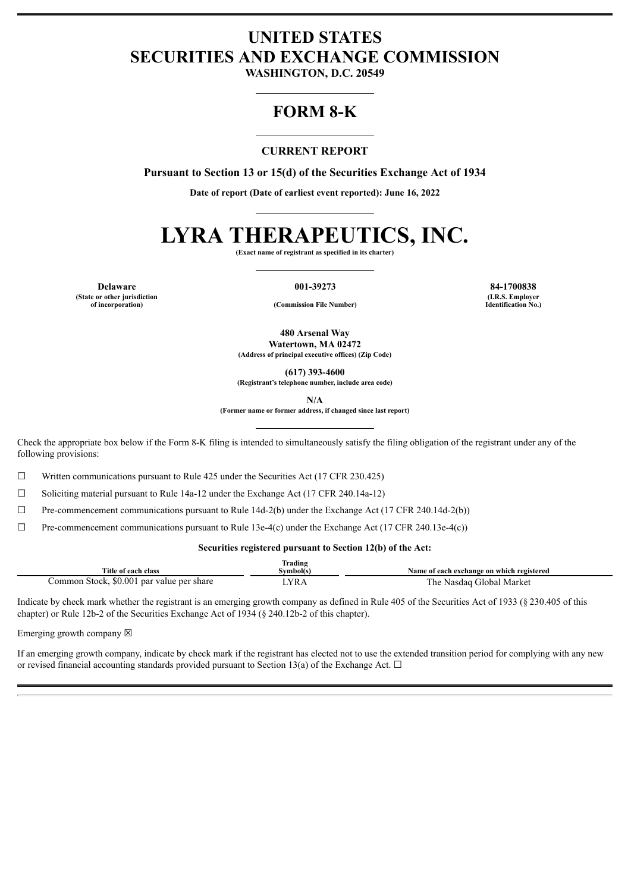# **UNITED STATES SECURITIES AND EXCHANGE COMMISSION**

**WASHINGTON, D.C. 20549**

# **FORM 8-K**

## **CURRENT REPORT**

**Pursuant to Section 13 or 15(d) of the Securities Exchange Act of 1934**

**Date of report (Date of earliest event reported): June 16, 2022**

# **LYRA THERAPEUTICS, INC.**

**(Exact name of registrant as specified in its charter)**

**(State or other jurisdiction**

**of incorporation) (Commission File Number)**

**Delaware 001-39273 84-1700838 (I.R.S. Employer Identification No.)**

> **480 Arsenal Way Watertown, MA 02472**

**(Address of principal executive offices) (Zip Code)**

**(617) 393-4600**

**(Registrant's telephone number, include area code)**

**N/A**

**(Former name or former address, if changed since last report)**

Check the appropriate box below if the Form 8-K filing is intended to simultaneously satisfy the filing obligation of the registrant under any of the following provisions:

 $\Box$  Written communications pursuant to Rule 425 under the Securities Act (17 CFR 230.425)

☐ Soliciting material pursuant to Rule 14a-12 under the Exchange Act (17 CFR 240.14a-12)

☐ Pre-commencement communications pursuant to Rule 14d-2(b) under the Exchange Act (17 CFR 240.14d-2(b))

☐ Pre-commencement communications pursuant to Rule 13e-4(c) under the Exchange Act (17 CFR 240.13e-4(c))

#### **Securities registered pursuant to Section 12(b) of the Act:**

| Frading                                             |                        |                                           |  |  |
|-----------------------------------------------------|------------------------|-------------------------------------------|--|--|
| Title of each class                                 | svmbol(s               | Name of each exchange on which registered |  |  |
| \$0.001<br>l par value per share<br>Stock<br>:ommon | <b>YR</b> <sub>h</sub> | Global Market<br>. he<br>Nasdag           |  |  |

Indicate by check mark whether the registrant is an emerging growth company as defined in Rule 405 of the Securities Act of 1933 (§ 230.405 of this chapter) or Rule 12b-2 of the Securities Exchange Act of 1934 (§ 240.12b-2 of this chapter).

Emerging growth company  $\boxtimes$ 

If an emerging growth company, indicate by check mark if the registrant has elected not to use the extended transition period for complying with any new or revised financial accounting standards provided pursuant to Section 13(a) of the Exchange Act.  $\Box$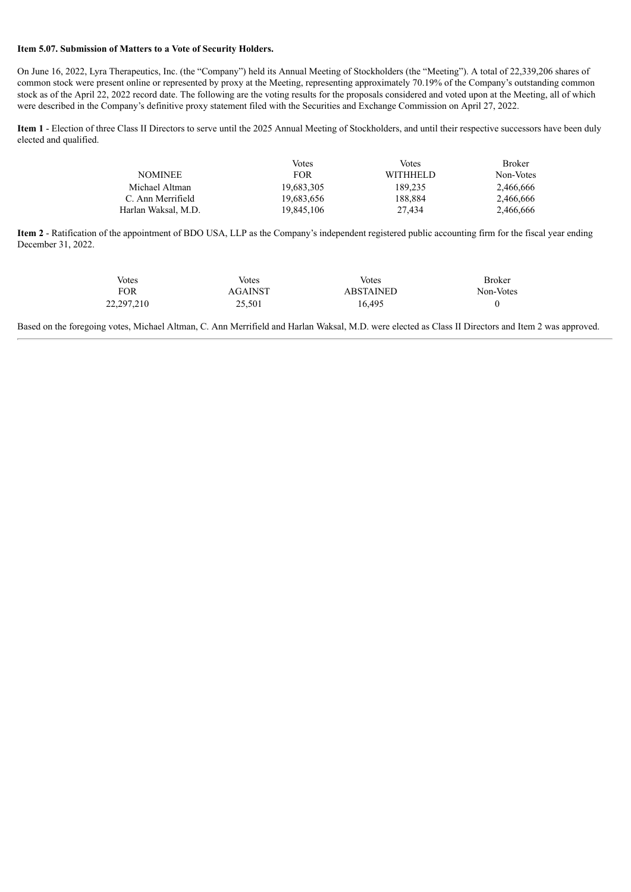#### **Item 5.07. Submission of Matters to a Vote of Security Holders.**

On June 16, 2022, Lyra Therapeutics, Inc. (the "Company") held its Annual Meeting of Stockholders (the "Meeting"). A total of 22,339,206 shares of common stock were present online or represented by proxy at the Meeting, representing approximately 70.19% of the Company's outstanding common stock as of the April 22, 2022 record date. The following are the voting results for the proposals considered and voted upon at the Meeting, all of which were described in the Company's definitive proxy statement filed with the Securities and Exchange Commission on April 27, 2022.

**Item 1** - Election of three Class II Directors to serve until the 2025 Annual Meeting of Stockholders, and until their respective successors have been duly elected and qualified.

|                     | Votes      | Votes           | <b>Broker</b> |
|---------------------|------------|-----------------|---------------|
| <b>NOMINEE</b>      | <b>FOR</b> | <b>WITHHELD</b> | Non-Votes     |
| Michael Altman      | 19.683.305 | 189.235         | 2,466,666     |
| C. Ann Merrifield   | 19.683.656 | 188.884         | 2.466.666     |
| Harlan Waksal, M.D. | 19.845.106 | 27.434          | 2,466,666     |

**Item 2** - Ratification of the appointment of BDO USA, LLP as the Company's independent registered public accounting firm for the fiscal year ending December 31, 2022.

| Votes      | Votes   | Votes            | <b>Broker</b> |
|------------|---------|------------------|---------------|
| <b>FOR</b> | AGAINST | <b>ABSTAINED</b> | Non-Votes     |
| 22,297,210 | 25.501  | 16.495           |               |

Based on the foregoing votes, Michael Altman, C. Ann Merrifield and Harlan Waksal, M.D. were elected as Class II Directors and Item 2 was approved.